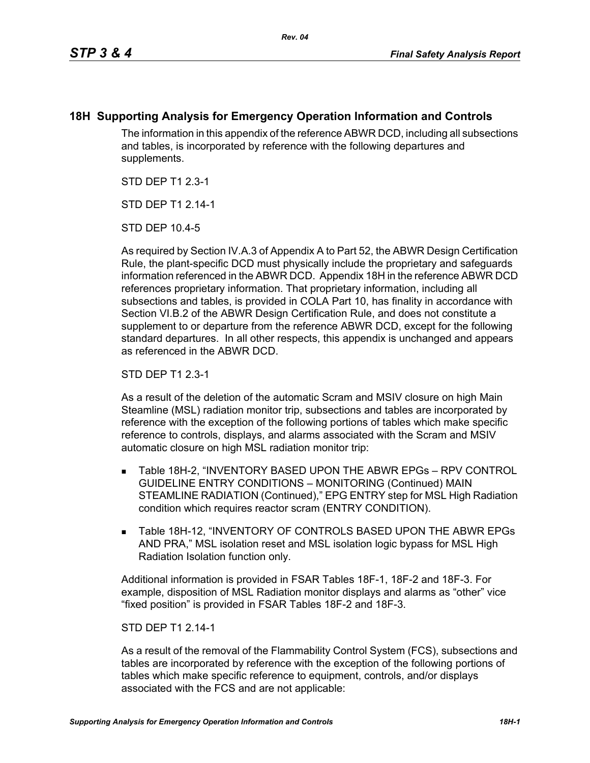## **18H Supporting Analysis for Emergency Operation Information and Controls**

The information in this appendix of the reference ABWR DCD, including all subsections and tables, is incorporated by reference with the following departures and supplements.

STD DEP T1 2.3-1

STD DFP T1 2 14-1

STD DEP 10.4-5

As required by Section IV.A.3 of Appendix A to Part 52, the ABWR Design Certification Rule, the plant-specific DCD must physically include the proprietary and safeguards information referenced in the ABWR DCD. Appendix 18H in the reference ABWR DCD references proprietary information. That proprietary information, including all subsections and tables, is provided in COLA Part 10, has finality in accordance with Section VI.B.2 of the ABWR Design Certification Rule, and does not constitute a supplement to or departure from the reference ABWR DCD, except for the following standard departures. In all other respects, this appendix is unchanged and appears as referenced in the ABWR DCD.

STD DEP T1 2.3-1

As a result of the deletion of the automatic Scram and MSIV closure on high Main Steamline (MSL) radiation monitor trip, subsections and tables are incorporated by reference with the exception of the following portions of tables which make specific reference to controls, displays, and alarms associated with the Scram and MSIV automatic closure on high MSL radiation monitor trip:

- Table 18H-2, "INVENTORY BASED UPON THE ABWR EPGs RPV CONTROL GUIDELINE ENTRY CONDITIONS – MONITORING (Continued) MAIN STEAMLINE RADIATION (Continued)," EPG ENTRY step for MSL High Radiation condition which requires reactor scram (ENTRY CONDITION).
- **Table 18H-12, "INVENTORY OF CONTROLS BASED UPON THE ABWR EPGs** AND PRA," MSL isolation reset and MSL isolation logic bypass for MSL High Radiation Isolation function only.

Additional information is provided in FSAR Tables 18F-1, 18F-2 and 18F-3. For example, disposition of MSL Radiation monitor displays and alarms as "other" vice "fixed position" is provided in FSAR Tables 18F-2 and 18F-3.

## STD DEP T1 2.14-1

As a result of the removal of the Flammability Control System (FCS), subsections and tables are incorporated by reference with the exception of the following portions of tables which make specific reference to equipment, controls, and/or displays associated with the FCS and are not applicable: